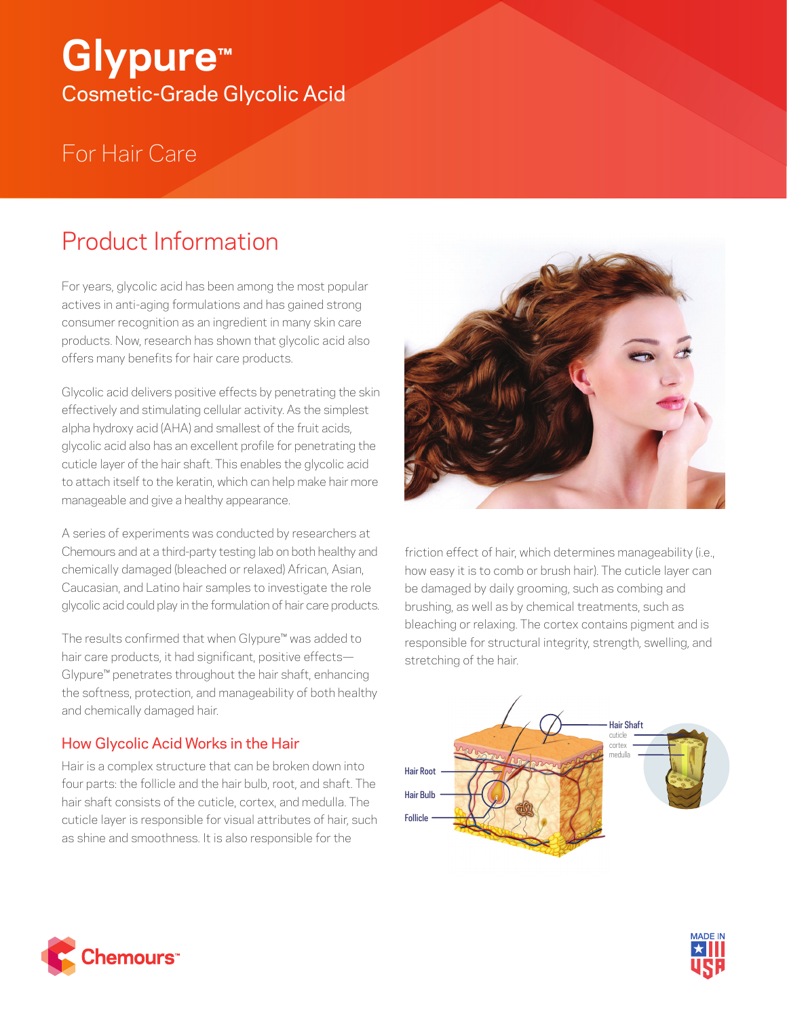# **Glypure™** Cosmetic-Grade Glycolic Acid

## For Hair Care

### Product Information

For years, glycolic acid has been among the most popular actives in anti-aging formulations and has gained strong consumer recognition as an ingredient in many skin care products. Now, research has shown that glycolic acid also offers many benefits for hair care products.

Glycolic acid delivers positive effects by penetrating the skin effectively and stimulating cellular activity. As the simplest alpha hydroxy acid (AHA) and smallest of the fruit acids, glycolic acid also has an excellent profile for penetrating the cuticle layer of the hair shaft. This enables the glycolic acid to attach itself to the keratin, which can help make hair more manageable and give a healthy appearance.

A series of experiments was conducted by researchers at Chemours and at a third-party testing lab on both healthy and chemically damaged (bleached or relaxed) African, Asian, Caucasian, and Latino hair samples to investigate the role glycolic acid could play in the formulation of hair care products.

The results confirmed that when Glypure™ was added to hair care products, it had significant, positive effects— Glypure™ penetrates throughout the hair shaft, enhancing the softness, protection, and manageability of both healthy and chemically damaged hair.

### How Glycolic Acid Works in the Hair

Hair is a complex structure that can be broken down into four parts: the follicle and the hair bulb, root, and shaft. The hair shaft consists of the cuticle, cortex, and medulla. The cuticle layer is responsible for visual attributes of hair, such as shine and smoothness. It is also responsible for the



friction effect of hair, which determines manageability (i.e., how easy it is to comb or brush hair). The cuticle layer can be damaged by daily grooming, such as combing and brushing, as well as by chemical treatments, such as bleaching or relaxing. The cortex contains pigment and is responsible for structural integrity, strength, swelling, and stretching of the hair.